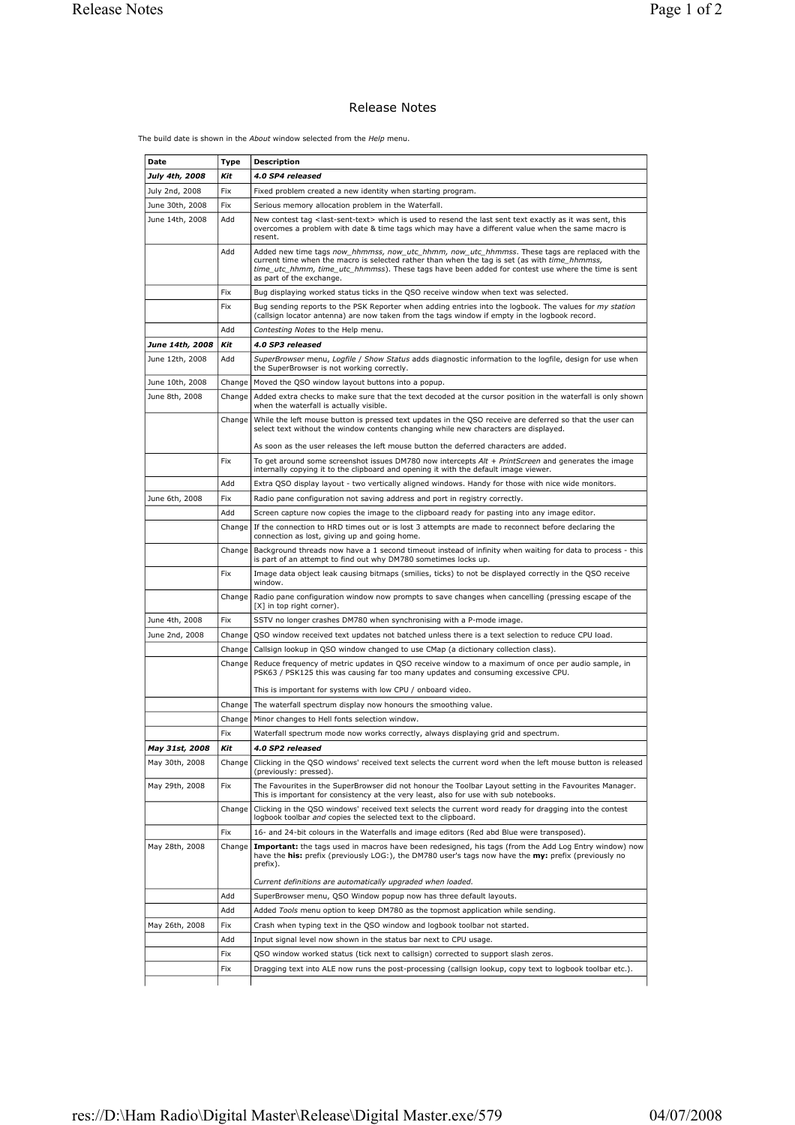## Release Notes

The build date is shown in the *About* window selected from the *Help* menu.

| July 4th, 2008  | Type<br>Kit | 4.0 SP4 released                                                                                                                                                                                                                                                                                                                  |
|-----------------|-------------|-----------------------------------------------------------------------------------------------------------------------------------------------------------------------------------------------------------------------------------------------------------------------------------------------------------------------------------|
|                 |             |                                                                                                                                                                                                                                                                                                                                   |
| July 2nd, 2008  | Fix         | Fixed problem created a new identity when starting program.                                                                                                                                                                                                                                                                       |
| June 30th, 2008 | Fix         | Serious memory allocation problem in the Waterfall.                                                                                                                                                                                                                                                                               |
| June 14th, 2008 | Add         | New contest tag <last-sent-text> which is used to resend the last sent text exactly as it was sent, this<br/>overcomes a problem with date &amp; time tags which may have a different value when the same macro is<br/>resent.</last-sent-text>                                                                                   |
|                 | Add         | Added new time tags now hhmmss, now utc hhmm, now utc hhmmss. These tags are replaced with the<br>current time when the macro is selected rather than when the tag is set (as with time_hhmmss,<br>time utc hhmm, time utc hhmmss). These tags have been added for contest use where the time is sent<br>as part of the exchange. |
|                 | Fix         | Bug displaying worked status ticks in the QSO receive window when text was selected.                                                                                                                                                                                                                                              |
|                 | Fix         | Bug sending reports to the PSK Reporter when adding entries into the logbook. The values for my station<br>(callsign locator antenna) are now taken from the tags window if empty in the logbook record.                                                                                                                          |
|                 | Add         | Contesting Notes to the Help menu.                                                                                                                                                                                                                                                                                                |
| June 14th, 2008 | Kit         | 4.0 SP3 released                                                                                                                                                                                                                                                                                                                  |
| June 12th, 2008 | Add         | SuperBrowser menu, Logfile / Show Status adds diagnostic information to the logfile, design for use when<br>the SuperBrowser is not working correctly.                                                                                                                                                                            |
| June 10th, 2008 | Change      | Moved the QSO window layout buttons into a popup.                                                                                                                                                                                                                                                                                 |
| June 8th, 2008  | Change      | Added extra checks to make sure that the text decoded at the cursor position in the waterfall is only shown<br>when the waterfall is actually visible.                                                                                                                                                                            |
|                 | Change      | While the left mouse button is pressed text updates in the QSO receive are deferred so that the user can<br>select text without the window contents changing while new characters are displayed.                                                                                                                                  |
|                 |             | As soon as the user releases the left mouse button the deferred characters are added.                                                                                                                                                                                                                                             |
|                 | Fix         | To get around some screenshot issues DM780 now intercepts Alt + PrintScreen and generates the image<br>internally copying it to the clipboard and opening it with the default image viewer.                                                                                                                                       |
|                 | Add         | Extra QSO display layout - two vertically aligned windows. Handy for those with nice wide monitors.                                                                                                                                                                                                                               |
| June 6th, 2008  | Fix         | Radio pane configuration not saving address and port in registry correctly.                                                                                                                                                                                                                                                       |
|                 | Add         | Screen capture now copies the image to the clipboard ready for pasting into any image editor.                                                                                                                                                                                                                                     |
|                 | Change      | If the connection to HRD times out or is lost 3 attempts are made to reconnect before declaring the<br>connection as lost, giving up and going home.                                                                                                                                                                              |
|                 | Change      | Background threads now have a 1 second timeout instead of infinity when waiting for data to process - this<br>is part of an attempt to find out why DM780 sometimes locks up.                                                                                                                                                     |
|                 | <b>Fix</b>  | Image data object leak causing bitmaps (smilies, ticks) to not be displayed correctly in the QSO receive<br>window.                                                                                                                                                                                                               |
|                 | Change      | Radio pane configuration window now prompts to save changes when cancelling (pressing escape of the<br>[X] in top right corner).                                                                                                                                                                                                  |
| June 4th, 2008  | Fix         | SSTV no longer crashes DM780 when synchronising with a P-mode image.                                                                                                                                                                                                                                                              |
| June 2nd, 2008  | Change      | QSO window received text updates not batched unless there is a text selection to reduce CPU load.                                                                                                                                                                                                                                 |
|                 | Change      | Callsign lookup in QSO window changed to use CMap (a dictionary collection class).                                                                                                                                                                                                                                                |
|                 | Change      | Reduce frequency of metric updates in QSO receive window to a maximum of once per audio sample, in<br>PSK63 / PSK125 this was causing far too many updates and consuming excessive CPU.                                                                                                                                           |
|                 |             | This is important for systems with low CPU / onboard video.                                                                                                                                                                                                                                                                       |
|                 | Change      | The waterfall spectrum display now honours the smoothing value.                                                                                                                                                                                                                                                                   |
|                 | Change      | Minor changes to Hell fonts selection window.                                                                                                                                                                                                                                                                                     |
|                 | Fix         | Waterfall spectrum mode now works correctly, always displaying grid and spectrum.                                                                                                                                                                                                                                                 |
| May 31st, 2008  | Kit         | 4.0 SP2 released                                                                                                                                                                                                                                                                                                                  |
| May 30th, 2008  | Change      | Clicking in the QSO windows' received text selects the current word when the left mouse button is released<br>(previously: pressed).                                                                                                                                                                                              |
| May 29th, 2008  | Fix         | The Favourites in the SuperBrowser did not honour the Toolbar Layout setting in the Favourites Manager.<br>This is important for consistency at the very least, also for use with sub notebooks.                                                                                                                                  |
|                 | Change      | Clicking in the QSO windows' received text selects the current word ready for dragging into the contest<br>logbook toolbar and copies the selected text to the clipboard.                                                                                                                                                         |
|                 | <b>Fix</b>  | 16- and 24-bit colours in the Waterfalls and image editors (Red abd Blue were transposed).                                                                                                                                                                                                                                        |
| May 28th, 2008  | Change      | Important: the tags used in macros have been redesigned, his tags (from the Add Log Entry window) now<br>have the his: prefix (previously LOG:), the DM780 user's tags now have the my: prefix (previously no<br>prefix).                                                                                                         |
|                 |             | Current definitions are automatically upgraded when loaded.                                                                                                                                                                                                                                                                       |
|                 | Add         | SuperBrowser menu, QSO Window popup now has three default layouts.                                                                                                                                                                                                                                                                |
|                 | Add         | Added Tools menu option to keep DM780 as the topmost application while sending.                                                                                                                                                                                                                                                   |
| May 26th, 2008  | Fix         | Crash when typing text in the QSO window and logbook toolbar not started.                                                                                                                                                                                                                                                         |
|                 | Add         | Input signal level now shown in the status bar next to CPU usage.                                                                                                                                                                                                                                                                 |
|                 | Fix         | QSO window worked status (tick next to callsign) corrected to support slash zeros.                                                                                                                                                                                                                                                |
|                 |             | Dragging text into ALE now runs the post-processing (callsign lookup, copy text to logbook toolbar etc.).                                                                                                                                                                                                                         |